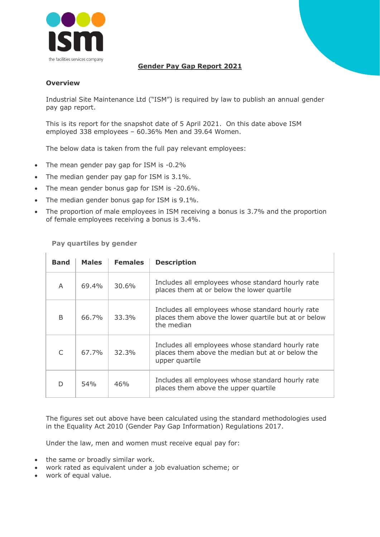

## **Gender Pay Gap Report 2021**

## **Overview**

Industrial Site Maintenance Ltd ("ISM") is required by law to publish an annual gender pay gap report.

This is its report for the snapshot date of 5 April 2021. On this date above ISM employed 338 employees – 60.36% Men and 39.64 Women.

The below data is taken from the full pay relevant employees:

- The mean gender pay gap for ISM is -0.2%
- The median gender pay gap for ISM is 3.1%.
- The mean gender bonus gap for ISM is -20.6%.
- The median gender bonus gap for ISM is 9.1%.
- The proportion of male employees in ISM receiving a bonus is 3.7% and the proportion of female employees receiving a bonus is 3.4%.

**Pay quartiles by gender**

| <b>Band</b>  | <b>Males</b>    | <b>Females</b> | <b>Description</b>                                                                                                      |
|--------------|-----------------|----------------|-------------------------------------------------------------------------------------------------------------------------|
| A            | 69.4%           | 30.6%          | Includes all employees whose standard hourly rate<br>places them at or below the lower quartile                         |
| <sub>B</sub> | 66.7%           | 33.3%          | Includes all employees whose standard hourly rate<br>places them above the lower quartile but at or below<br>the median |
| C            | 67.7%           | 32.3%          | Includes all employees whose standard hourly rate<br>places them above the median but at or below the<br>upper quartile |
| D            | 54 <sub>%</sub> | 46%            | Includes all employees whose standard hourly rate<br>places them above the upper quartile                               |

The figures set out above have been calculated using the standard methodologies used in the Equality Act 2010 (Gender Pay Gap Information) Regulations 2017.

Under the law, men and women must receive equal pay for:

- the same or broadly similar work.
- work rated as equivalent under a job evaluation scheme; or
- work of equal value.